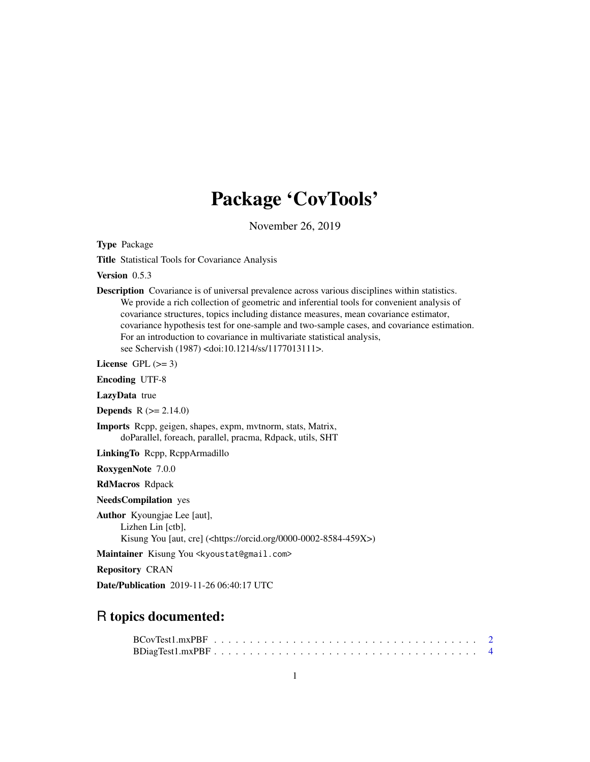## Package 'CovTools'

November 26, 2019

Type Package

Title Statistical Tools for Covariance Analysis

Version 0.5.3

Description Covariance is of universal prevalence across various disciplines within statistics. We provide a rich collection of geometric and inferential tools for convenient analysis of covariance structures, topics including distance measures, mean covariance estimator, covariance hypothesis test for one-sample and two-sample cases, and covariance estimation. For an introduction to covariance in multivariate statistical analysis, see Schervish (1987) <doi:10.1214/ss/1177013111>.

License GPL  $(>= 3)$ 

Encoding UTF-8

LazyData true

**Depends** R  $(>= 2.14.0)$ 

Imports Rcpp, geigen, shapes, expm, mvtnorm, stats, Matrix, doParallel, foreach, parallel, pracma, Rdpack, utils, SHT

LinkingTo Rcpp, RcppArmadillo

RoxygenNote 7.0.0

RdMacros Rdpack

NeedsCompilation yes

Author Kyoungjae Lee [aut], Lizhen Lin [ctb], Kisung You [aut, cre] (<https://orcid.org/0000-0002-8584-459X>)

Maintainer Kisung You <kyoustat@gmail.com>

Repository CRAN

Date/Publication 2019-11-26 06:40:17 UTC

## R topics documented: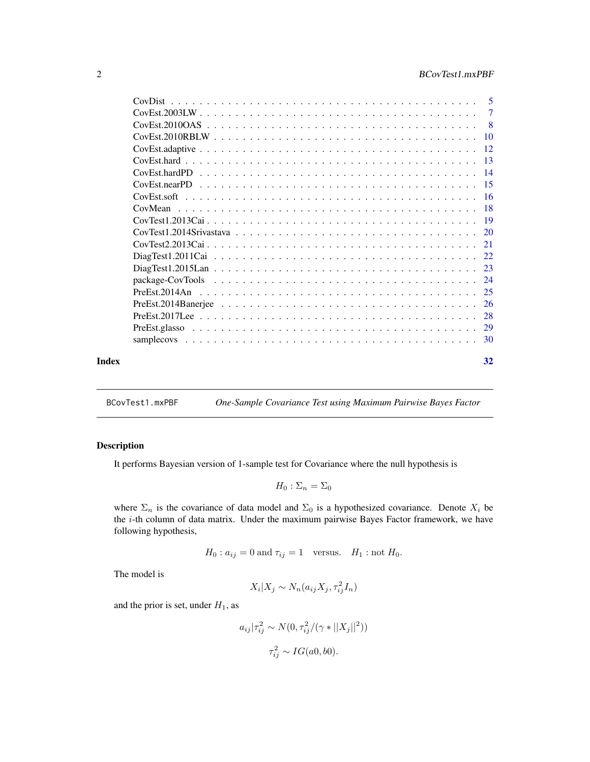<span id="page-1-0"></span>

|       | CovDist |     |
|-------|---------|-----|
|       |         |     |
|       |         | - 8 |
|       |         |     |
|       |         |     |
|       |         |     |
|       |         |     |
|       |         |     |
|       |         |     |
|       | CovMean |     |
|       |         |     |
|       |         |     |
|       |         |     |
|       |         |     |
|       |         |     |
|       |         |     |
|       |         |     |
|       |         |     |
|       |         |     |
|       |         |     |
|       |         |     |
| Index |         | 32  |

BCovTest1.mxPBF *One-Sample Covariance Test using Maximum Pairwise Bayes Factor*

## Description

It performs Bayesian version of 1-sample test for Covariance where the null hypothesis is

$$
H_0: \Sigma_n = \Sigma_0
$$

where  $\Sigma_n$  is the covariance of data model and  $\Sigma_0$  is a hypothesized covariance. Denote  $X_i$  be the  $i$ -th column of data matrix. Under the maximum pairwise Bayes Factor framework, we have following hypothesis,

$$
H_0: a_{ij} = 0 \text{ and } \tau_{ij} = 1 \quad \text{versus.} \quad H_1: \text{not } H_0.
$$

The model is

$$
X_i | X_j \sim N_n(a_{ij} X_j, \tau_{ij}^2 I_n)
$$

and the prior is set, under  $H_1$ , as

$$
a_{ij}|\tau_{ij}^{2} \sim N(0, \tau_{ij}^{2}/(\gamma * ||X_{j}||^{2}))
$$

$$
\tau_{ij}^{2} \sim IG(a0, b0).
$$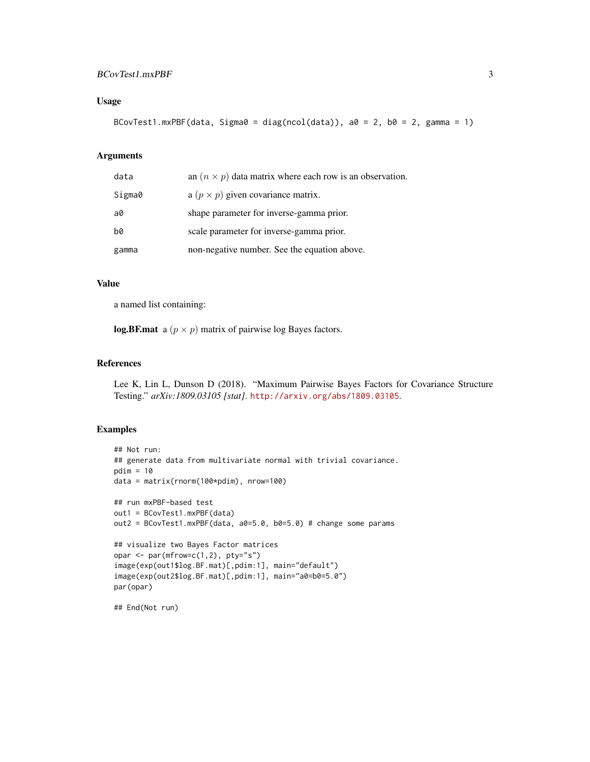## BCovTest1.mxPBF 3

## Usage

```
BCovTest1.mxPBF(data, Sigma0 = diag(ncol(data)), a0 = 2, b0 = 2, gamma = 1)
```
## Arguments

| data   | an $(n \times p)$ data matrix where each row is an observation. |
|--------|-----------------------------------------------------------------|
| Sigma0 | a $(p \times p)$ given covariance matrix.                       |
| a0     | shape parameter for inverse-gamma prior.                        |
| b0     | scale parameter for inverse-gamma prior.                        |
| gamma  | non-negative number. See the equation above.                    |

## Value

a named list containing:

log.BF.mat a  $(p \times p)$  matrix of pairwise log Bayes factors.

## References

Lee K, Lin L, Dunson D (2018). "Maximum Pairwise Bayes Factors for Covariance Structure Testing." *arXiv:1809.03105 [stat]*. <http://arxiv.org/abs/1809.03105>.

## Examples

```
## Not run:
## generate data from multivariate normal with trivial covariance.
pdim = 10data = matrix(rnorm(100*pdim), nrow=100)
## run mxPBF-based test
out1 = BCovTest1.mxPBF(data)
out2 = BCovTest1.mxPBF(data, a0=5.0, b0=5.0) # change some params
## visualize two Bayes Factor matrices
opar <- par(mfrow=c(1,2), pty="s")
image(exp(out1$log.BF.mat)[,pdim:1], main="default")
image(exp(out2$log.BF.mat)[,pdim:1], main="a0=b0=5.0")
par(opar)
```
## End(Not run)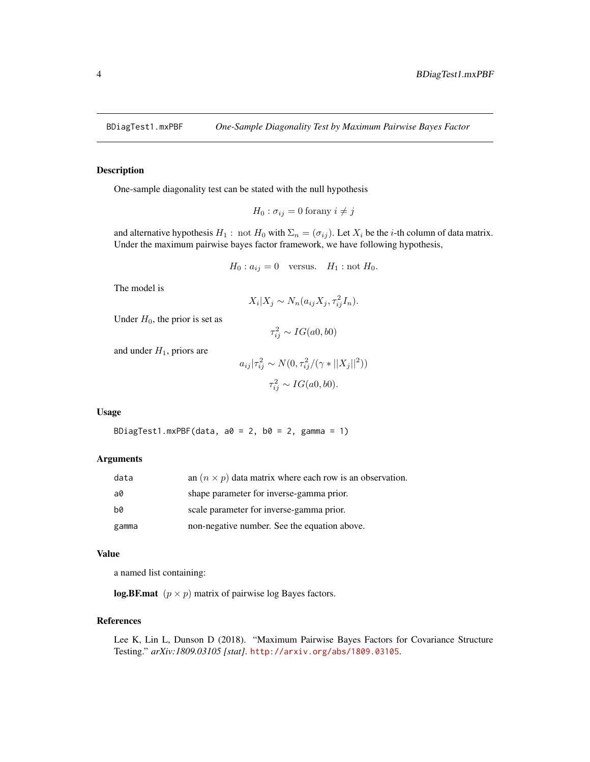<span id="page-3-0"></span>

One-sample diagonality test can be stated with the null hypothesis

$$
H_0: \sigma_{ij} = 0 \text{ for any } i \neq j
$$

and alternative hypothesis  $H_1$ : not  $H_0$  with  $\Sigma_n = (\sigma_{ij})$ . Let  $X_i$  be the *i*-th column of data matrix. Under the maximum pairwise bayes factor framework, we have following hypothesis,

$$
H_0: a_{ij} = 0 \quad \text{versus.} \quad H_1: \text{not } H_0.
$$

The model is

$$
X_i|X_j \sim N_n(a_{ij}X_j, \tau_{ij}^2I_n).
$$

Under  $H_0$ , the prior is set as

$$
\tau_{ij}^2 \sim IG(a0, b0)
$$

and under  $H_1$ , priors are

$$
a_{ij}|\tau_{ij}^{2} \sim N(0, \tau_{ij}^{2}/(\gamma * ||X_{j}||^{2}))
$$

$$
\tau_{ij}^{2} \sim IG(a0, b0).
$$

## Usage

BDiagTest1.mxPBF(data,  $a0 = 2$ ,  $b0 = 2$ , gamma = 1)

#### Arguments

| data  | an $(n \times p)$ data matrix where each row is an observation. |
|-------|-----------------------------------------------------------------|
| a0    | shape parameter for inverse-gamma prior.                        |
| b0    | scale parameter for inverse-gamma prior.                        |
| gamma | non-negative number. See the equation above.                    |

#### Value

a named list containing:

log.BF.mat  $(p \times p)$  matrix of pairwise log Bayes factors.

## References

Lee K, Lin L, Dunson D (2018). "Maximum Pairwise Bayes Factors for Covariance Structure Testing." *arXiv:1809.03105 [stat]*. <http://arxiv.org/abs/1809.03105>.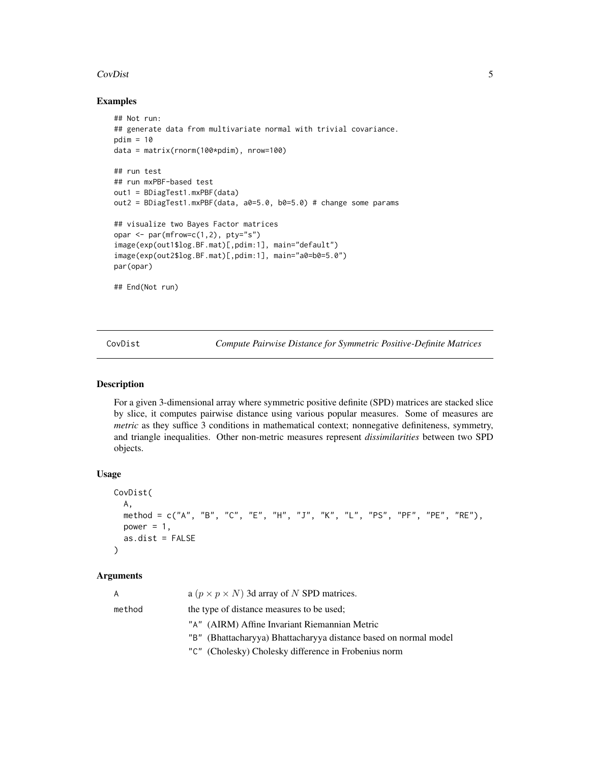#### <span id="page-4-0"></span>CovDist 5

## Examples

```
## Not run:
## generate data from multivariate normal with trivial covariance.
pdim = 10data = matrix(rnorm(100*pdim), nrow=100)
## run test
## run mxPBF-based test
out1 = BDiagTest1.mxPBF(data)
out2 = BDiagTest1.mxPBF(data, a0=5.0, b0=5.0) # change some params
## visualize two Bayes Factor matrices
opar <- par(mfrow=c(1,2), pty="s")
image(exp(out1$log.BF.mat)[,pdim:1], main="default")
image(exp(out2$log.BF.mat)[,pdim:1], main="a0=b0=5.0")
par(opar)
## End(Not run)
```
<span id="page-4-1"></span>CovDist *Compute Pairwise Distance for Symmetric Positive-Definite Matrices*

## Description

For a given 3-dimensional array where symmetric positive definite (SPD) matrices are stacked slice by slice, it computes pairwise distance using various popular measures. Some of measures are *metric* as they suffice 3 conditions in mathematical context; nonnegative definiteness, symmetry, and triangle inequalities. Other non-metric measures represent *dissimilarities* between two SPD objects.

#### Usage

```
CovDist(
 A,
 method = c("A", "B", "C", "E", "H", "J", "K", "L", "PS", "PF", "PE", "RE"),
 power = 1,
  as.dist = FALSE
)
```

| A      | a ( $p \times p \times N$ ) 3d array of N SPD matrices.          |
|--------|------------------------------------------------------------------|
| method | the type of distance measures to be used:                        |
|        | "A" (AIRM) Affine Invariant Riemannian Metric                    |
|        | "B" (Bhattacharyya) Bhattacharyya distance based on normal model |
|        | "C" (Cholesky) Cholesky difference in Frobenius norm             |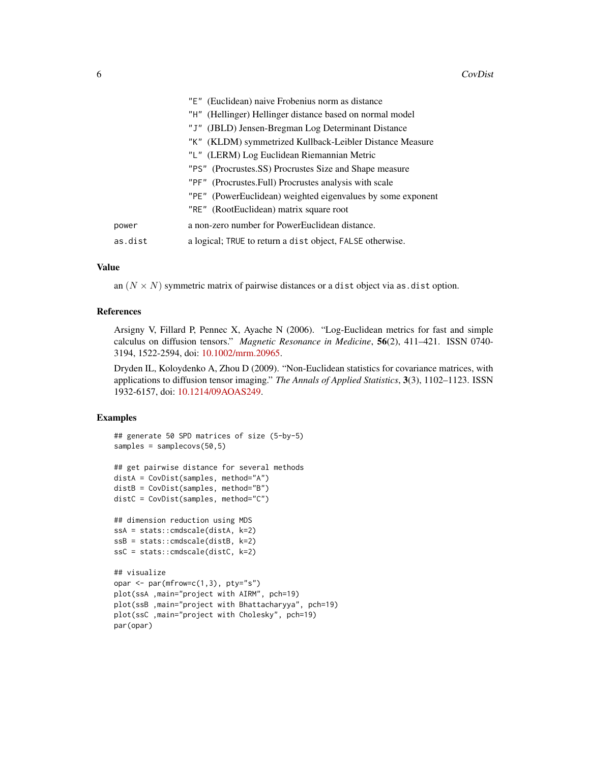|         | "E" (Euclidean) naive Frobenius norm as distance            |
|---------|-------------------------------------------------------------|
|         | "H" (Hellinger) Hellinger distance based on normal model    |
|         | "J" (JBLD) Jensen-Bregman Log Determinant Distance          |
|         | "K" (KLDM) symmetrized Kullback-Leibler Distance Measure    |
|         | "L" (LERM) Log Euclidean Riemannian Metric                  |
|         | "PS" (Procrustes.SS) Procrustes Size and Shape measure      |
|         | "PF" (Procrustes.Full) Procrustes analysis with scale       |
|         | "PE" (PowerEuclidean) weighted eigenvalues by some exponent |
|         | "RE" (RootEuclidean) matrix square root                     |
| power   | a non-zero number for PowerEuclidean distance.              |
| as.dist | a logical; TRUE to return a dist object, FALSE otherwise.   |
|         |                                                             |

an  $(N \times N)$  symmetric matrix of pairwise distances or a dist object via as.dist option.

## References

Arsigny V, Fillard P, Pennec X, Ayache N (2006). "Log-Euclidean metrics for fast and simple calculus on diffusion tensors." *Magnetic Resonance in Medicine*, 56(2), 411–421. ISSN 0740- 3194, 1522-2594, doi: [10.1002/mrm.20965.](https://doi.org/10.1002/mrm.20965)

Dryden IL, Koloydenko A, Zhou D (2009). "Non-Euclidean statistics for covariance matrices, with applications to diffusion tensor imaging." *The Annals of Applied Statistics*, 3(3), 1102–1123. ISSN 1932-6157, doi: [10.1214/09AOAS249.](https://doi.org/10.1214/09-AOAS249)

```
## generate 50 SPD matrices of size (5-by-5)
samples = samplecovs(50,5)
## get pairwise distance for several methods
distA = CovDist(samples, method="A")
distB = CovDist(samples, method="B")
distC = CovDist(samples, method="C")
## dimension reduction using MDS
ssA = stats::cmdscale(distA, k=2)
ssB = stats::cmdscale(distB, k=2)
ssC = stats::cmdscale(distC, k=2)
## visualize
opar \leq par(mfrow=c(1,3), pty="s")
plot(ssA ,main="project with AIRM", pch=19)
plot(ssB ,main="project with Bhattacharyya", pch=19)
plot(ssC ,main="project with Cholesky", pch=19)
par(opar)
```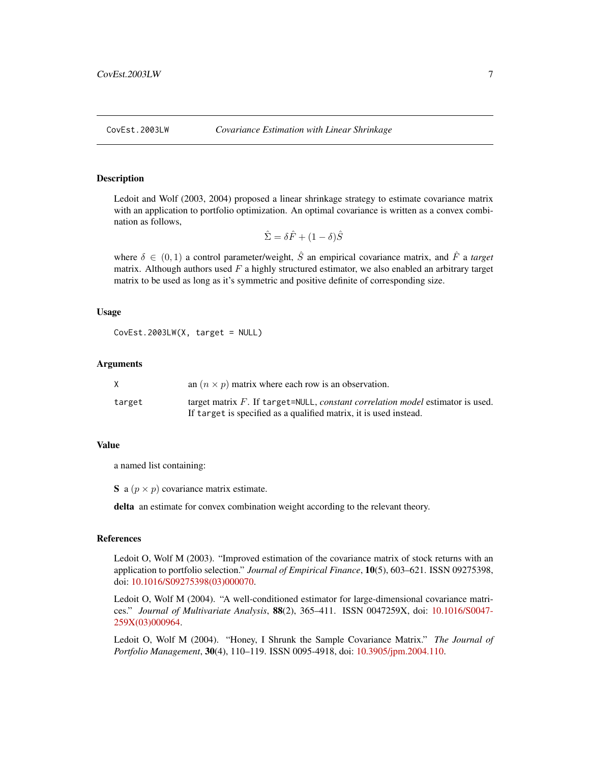<span id="page-6-0"></span>

Ledoit and Wolf (2003, 2004) proposed a linear shrinkage strategy to estimate covariance matrix with an application to portfolio optimization. An optimal covariance is written as a convex combination as follows,

$$
\hat{\Sigma} = \delta \hat{F} + (1 - \delta)\hat{S}
$$

where  $\delta \in (0,1)$  a control parameter/weight,  $\hat{S}$  an empirical covariance matrix, and  $\hat{F}$  a *target* matrix. Although authors used  $F$  a highly structured estimator, we also enabled an arbitrary target matrix to be used as long as it's symmetric and positive definite of corresponding size.

## Usage

 $CovEst.2003LW(X, target = NULL)$ 

## Arguments

| X.     | an $(n \times p)$ matrix where each row is an observation.                        |
|--------|-----------------------------------------------------------------------------------|
| target | target matrix $F$ . If target=NULL, constant correlation model estimator is used. |
|        | If target is specified as a qualified matrix, it is used instead.                 |

## Value

a named list containing:

S a  $(p \times p)$  covariance matrix estimate.

delta an estimate for convex combination weight according to the relevant theory.

## References

Ledoit O, Wolf M (2003). "Improved estimation of the covariance matrix of stock returns with an application to portfolio selection." *Journal of Empirical Finance*, 10(5), 603–621. ISSN 09275398, doi: [10.1016/S09275398\(03\)000070.](https://doi.org/10.1016/S0927-5398(03)00007-0)

Ledoit O, Wolf M (2004). "A well-conditioned estimator for large-dimensional covariance matrices." *Journal of Multivariate Analysis*, 88(2), 365–411. ISSN 0047259X, doi: [10.1016/S0047-](https://doi.org/10.1016/S0047-259X(03)00096-4) [259X\(03\)000964.](https://doi.org/10.1016/S0047-259X(03)00096-4)

Ledoit O, Wolf M (2004). "Honey, I Shrunk the Sample Covariance Matrix." *The Journal of Portfolio Management*, 30(4), 110–119. ISSN 0095-4918, doi: [10.3905/jpm.2004.110.](https://doi.org/10.3905/jpm.2004.110)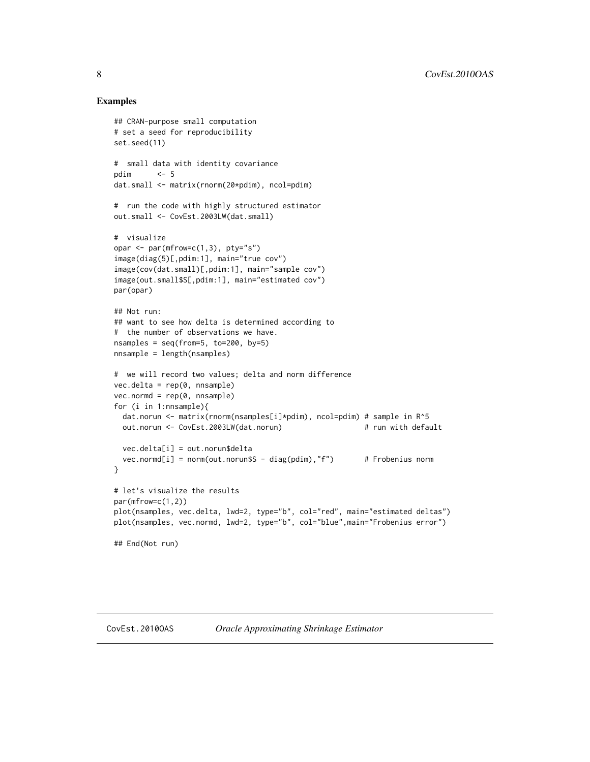```
## CRAN-purpose small computation
# set a seed for reproducibility
set.seed(11)
# small data with identity covariance
pdim \t < -5dat.small <- matrix(rnorm(20*pdim), ncol=pdim)
# run the code with highly structured estimator
out.small <- CovEst.2003LW(dat.small)
# visualize
opar <- par(mfrow=c(1,3), pty="s")
image(diag(5)[,pdim:1], main="true cov")
image(cov(dat.small)[,pdim:1], main="sample cov")
image(out.small$S[,pdim:1], main="estimated cov")
par(opar)
## Not run:
## want to see how delta is determined according to
# the number of observations we have.
nsamples = seq(from=5, to=200, by=5)
nnsample = length(nsamples)
# we will record two values; delta and norm difference
vec.delta = rep(0, nnsample)
vec.normd = rep(0, nnsample)for (i in 1:nnsample){
 dat.norun <- matrix(rnorm(nsamples[i]*pdim), ncol=pdim) # sample in R^5
 out.norun <- CovEst.2003LW(dat.norun) # run with default
 vec.delta[i] = out.norun$delta
 vec.normd[i] = norm(out.norun$S - diag(pdim),"f") # Frobenius norm
}
# let's visualize the results
par(mfrow=c(1,2))
plot(nsamples, vec.delta, lwd=2, type="b", col="red", main="estimated deltas")
plot(nsamples, vec.normd, lwd=2, type="b", col="blue",main="Frobenius error")
## End(Not run)
```
<span id="page-7-0"></span>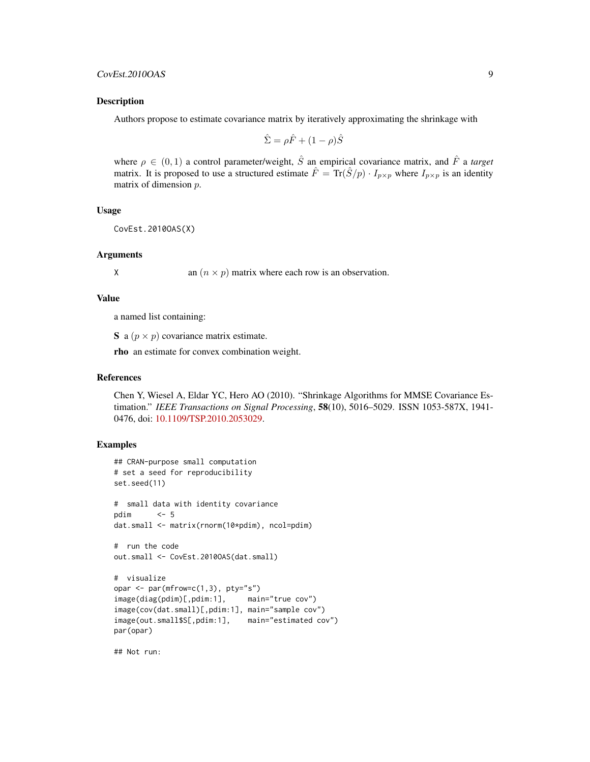Authors propose to estimate covariance matrix by iteratively approximating the shrinkage with

$$
\hat{\Sigma} = \rho \hat{F} + (1 - \rho)\hat{S}
$$

where  $\rho \in (0, 1)$  a control parameter/weight,  $\hat{S}$  an empirical covariance matrix, and  $\hat{F}$  a *target* matrix. It is proposed to use a structured estimate  $\hat{F} = \text{Tr}(\hat{S}/p) \cdot I_{p \times p}$  where  $I_{p \times p}$  is an identity matrix of dimension p.

## Usage

CovEst.2010OAS(X)

## Arguments

X an  $(n \times p)$  matrix where each row is an observation.

#### Value

a named list containing:

S a  $(p \times p)$  covariance matrix estimate.

rho an estimate for convex combination weight.

## References

Chen Y, Wiesel A, Eldar YC, Hero AO (2010). "Shrinkage Algorithms for MMSE Covariance Estimation." *IEEE Transactions on Signal Processing*, 58(10), 5016–5029. ISSN 1053-587X, 1941- 0476, doi: [10.1109/TSP.2010.2053029.](https://doi.org/10.1109/TSP.2010.2053029)

## Examples

```
## CRAN-purpose small computation
# set a seed for reproducibility
set.seed(11)
# small data with identity covariance
pdim <- 5
dat.small <- matrix(rnorm(10*pdim), ncol=pdim)
# run the code
out.small <- CovEst.2010OAS(dat.small)
# visualize
opar \leq par(mfrow=c(1,3), pty="s")
image(diag(pdim)[,pdim:1], main="true cov")
image(cov(dat.small)[,pdim:1], main="sample cov")
image(out.small$S[,pdim:1], main="estimated cov")
par(opar)
```
## Not run: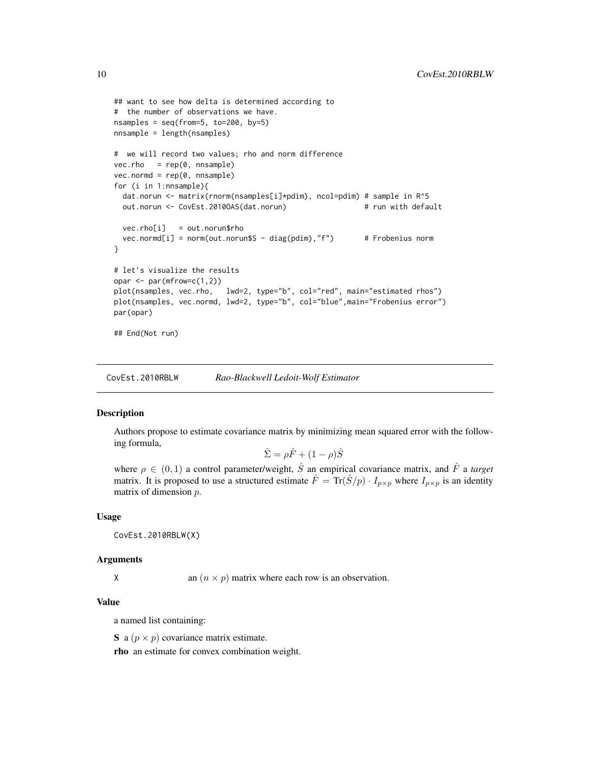```
## want to see how delta is determined according to
# the number of observations we have.
nsamples = seq(from=5, to=200, by=5)
nnsample = length(nsamples)
# we will record two values; rho and norm difference
vec.rho = rep(0, nnsample)vec.normd = rep(0, nnsample)
for (i in 1:nnsample){
 dat.norun <- matrix(rnorm(nsamples[i]*pdim), ncol=pdim) # sample in R^5
 out.norun <- CovEst.2010OAS(dat.norun) # run with default
 vec.rho[i] = out.norun$rho
 vec.normd[i] = norm(out.norum$S - diag(pdim), "f") # Frobenius norm
}
# let's visualize the results
opar <- par(mfrow=c(1,2))
plot(nsamples, vec.rho, lwd=2, type="b", col="red", main="estimated rhos")
plot(nsamples, vec.normd, lwd=2, type="b", col="blue",main="Frobenius error")
par(opar)
## End(Not run)
```
CovEst.2010RBLW *Rao-Blackwell Ledoit-Wolf Estimator*

## Description

Authors propose to estimate covariance matrix by minimizing mean squared error with the following formula,

$$
\hat{\Sigma} = \rho \hat{F} + (1 - \rho)\hat{S}
$$

where  $\rho \in (0, 1)$  a control parameter/weight,  $\hat{S}$  an empirical covariance matrix, and  $\hat{F}$  a *target* matrix. It is proposed to use a structured estimate  $\hat{F} = \text{Tr}(\hat{S}/p) \cdot I_{p \times p}$  where  $I_{p \times p}$  is an identity matrix of dimension p.

#### Usage

CovEst.2010RBLW(X)

#### Arguments

X an  $(n \times p)$  matrix where each row is an observation.

## Value

a named list containing:

S a  $(p \times p)$  covariance matrix estimate.

rho an estimate for convex combination weight.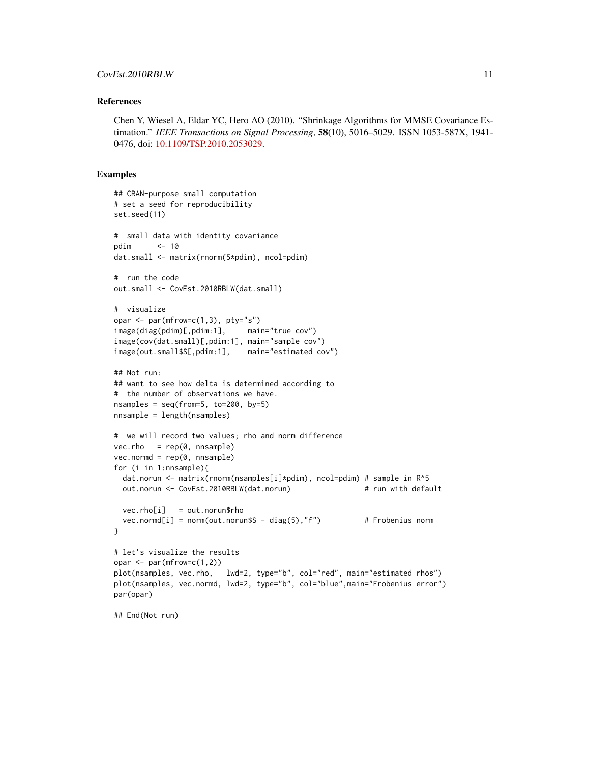#### References

Chen Y, Wiesel A, Eldar YC, Hero AO (2010). "Shrinkage Algorithms for MMSE Covariance Estimation." *IEEE Transactions on Signal Processing*, 58(10), 5016–5029. ISSN 1053-587X, 1941- 0476, doi: [10.1109/TSP.2010.2053029.](https://doi.org/10.1109/TSP.2010.2053029)

```
## CRAN-purpose small computation
# set a seed for reproducibility
set.seed(11)
# small data with identity covariance
pdim <- 10
dat.small <- matrix(rnorm(5*pdim), ncol=pdim)
# run the code
out.small <- CovEst.2010RBLW(dat.small)
# visualize
opar \leq par(mfrow=c(1,3), pty="s")
image(diag(pdim)[,pdim:1], main="true cov")
image(cov(dat.small)[,pdim:1], main="sample cov")
image(out.small$S[,pdim:1], main="estimated cov")
## Not run:
## want to see how delta is determined according to
# the number of observations we have.
nsamples = seq(from=5, to=200, by=5)nnsample = length(nsamples)
# we will record two values; rho and norm difference
vec.rho = rep(0, nnsample)vec.normd = rep(0, nnsample)for (i in 1:nnsample){
 dat.norun <- matrix(rnorm(nsamples[i]*pdim), ncol=pdim) # sample in R^5
 out.norun <- CovEst.2010RBLW(dat.norun) # run with default
 vec.rho[i] = out.norun$rho
 vec.norm([i] = norm(out.norum$S - diag(5), "f") # Frobenius norm
}
# let's visualize the results
opar \leq par(mfrow=c(1,2))
plot(nsamples, vec.rho, lwd=2, type="b", col="red", main="estimated rhos")
plot(nsamples, vec.normd, lwd=2, type="b", col="blue",main="Frobenius error")
par(opar)
## End(Not run)
```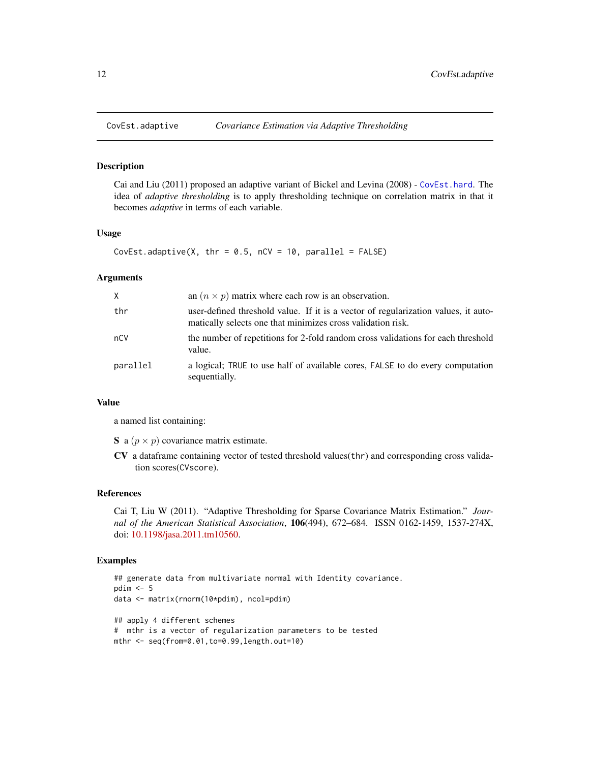<span id="page-11-0"></span>

Cai and Liu (2011) proposed an adaptive variant of Bickel and Levina (2008) - [CovEst.hard](#page-12-1). The idea of *adaptive thresholding* is to apply thresholding technique on correlation matrix in that it becomes *adaptive* in terms of each variable.

### Usage

CovEst.adaptive(X, thr =  $0.5$ , nCV = 10, parallel = FALSE)

## Arguments

| X.       | an $(n \times p)$ matrix where each row is an observation.                                                                                        |
|----------|---------------------------------------------------------------------------------------------------------------------------------------------------|
| thr      | user-defined threshold value. If it is a vector of regularization values, it auto-<br>matically selects one that minimizes cross validation risk. |
| nCV      | the number of repetitions for 2-fold random cross validations for each threshold<br>value.                                                        |
| parallel | a logical; TRUE to use half of available cores, FALSE to do every computation<br>sequentially.                                                    |

## Value

a named list containing:

S a  $(p \times p)$  covariance matrix estimate.

CV a dataframe containing vector of tested threshold values(thr) and corresponding cross validation scores(CVscore).

## References

Cai T, Liu W (2011). "Adaptive Thresholding for Sparse Covariance Matrix Estimation." *Journal of the American Statistical Association*, 106(494), 672–684. ISSN 0162-1459, 1537-274X, doi: [10.1198/jasa.2011.tm10560.](https://doi.org/10.1198/jasa.2011.tm10560)

```
## generate data from multivariate normal with Identity covariance.
pdim \leq -5data <- matrix(rnorm(10*pdim), ncol=pdim)
## apply 4 different schemes
# mthr is a vector of regularization parameters to be tested
mthr <- seq(from=0.01,to=0.99,length.out=10)
```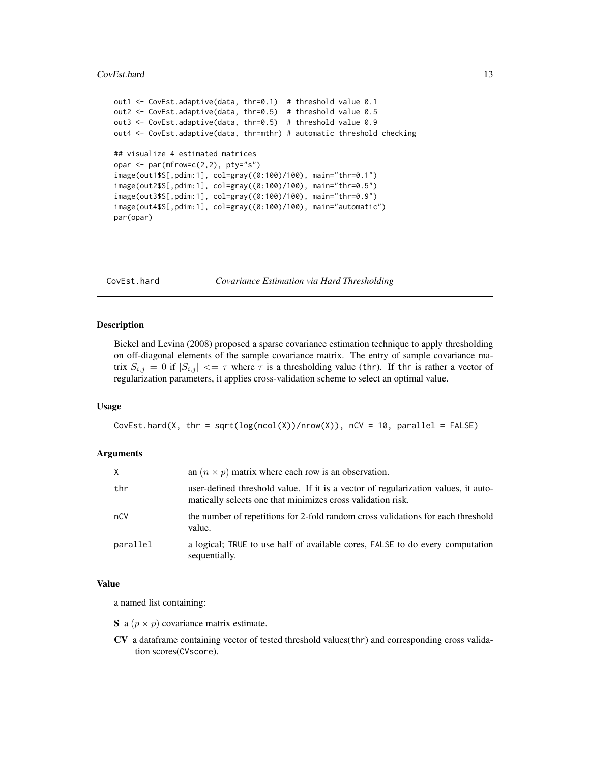#### <span id="page-12-0"></span>CovEst.hard 13

```
out1 <- CovEst.adaptive(data, thr=0.1) # threshold value 0.1
out2 <- CovEst.adaptive(data, thr=0.5) # threshold value 0.5
out3 <- CovEst.adaptive(data, thr=0.5) # threshold value 0.9
out4 <- CovEst.adaptive(data, thr=mthr) # automatic threshold checking
## visualize 4 estimated matrices
opar \leq par(mfrow=c(2,2), pty="s")
image(out1$S[,pdim:1], col=gray((0:100)/100), main="thr=0.1")
image(out2$S[,pdim:1], col=gray((0:100)/100), main="thr=0.5")
image(out3$S[,pdim:1], col=gray((0:100)/100), main="thr=0.9")
image(out4$S[,pdim:1], col=gray((0:100)/100), main="automatic")
par(opar)
```
<span id="page-12-1"></span>

CovEst.hard *Covariance Estimation via Hard Thresholding*

## Description

Bickel and Levina (2008) proposed a sparse covariance estimation technique to apply thresholding on off-diagonal elements of the sample covariance matrix. The entry of sample covariance matrix  $S_{i,j} = 0$  if  $|S_{i,j}| \leq \tau$  where  $\tau$  is a thresholding value (thr). If thr is rather a vector of regularization parameters, it applies cross-validation scheme to select an optimal value.

#### Usage

CovEst.hard(X, thr = sqrt(log(ncol(X))/nrow(X)), nCV = 10, parallel = FALSE)

## Arguments

| X        | an $(n \times p)$ matrix where each row is an observation.                                                                                        |
|----------|---------------------------------------------------------------------------------------------------------------------------------------------------|
| thr      | user-defined threshold value. If it is a vector of regularization values, it auto-<br>matically selects one that minimizes cross validation risk. |
| nCV      | the number of repetitions for 2-fold random cross validations for each threshold<br>value.                                                        |
| parallel | a logical; TRUE to use half of available cores, FALSE to do every computation<br>sequentially.                                                    |

#### Value

a named list containing:

S a  $(p \times p)$  covariance matrix estimate.

CV a dataframe containing vector of tested threshold values(thr) and corresponding cross validation scores(CVscore).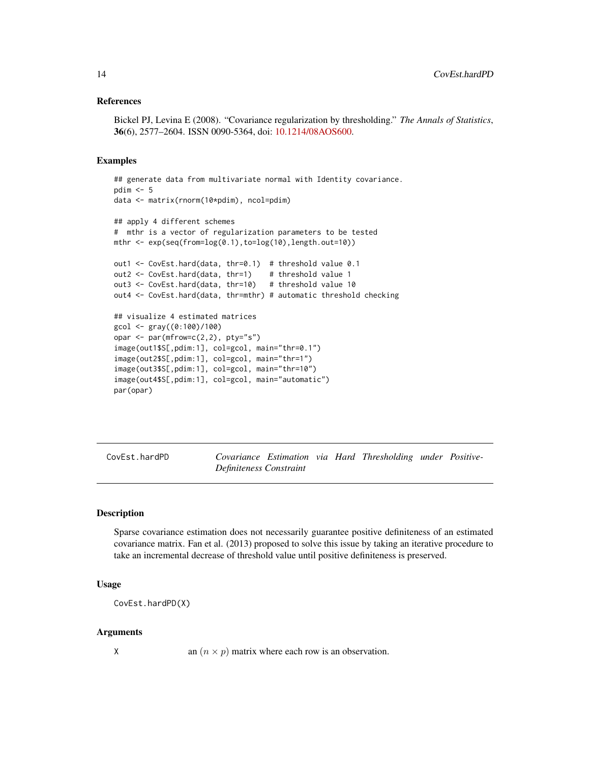## <span id="page-13-0"></span>References

Bickel PJ, Levina E (2008). "Covariance regularization by thresholding." *The Annals of Statistics*, 36(6), 2577–2604. ISSN 0090-5364, doi: [10.1214/08AOS600.](https://doi.org/10.1214/08-AOS600)

#### Examples

```
## generate data from multivariate normal with Identity covariance.
pdim <- 5
data <- matrix(rnorm(10*pdim), ncol=pdim)
## apply 4 different schemes
# mthr is a vector of regularization parameters to be tested
mthr <- exp(seq(from=log(0.1),to=log(10),length.out=10))
out1 <- CovEst.hard(data, thr=0.1) # threshold value 0.1
out2 <- CovEst.hard(data, thr=1) # threshold value 1
out3 <- CovEst.hard(data, thr=10) # threshold value 10
out4 <- CovEst.hard(data, thr=mthr) # automatic threshold checking
## visualize 4 estimated matrices
gcol <- gray((0:100)/100)
opar \leq par(mfrow=c(2,2), pty="s")
image(out1$S[,pdim:1], col=gcol, main="thr=0.1")
image(out2$S[,pdim:1], col=gcol, main="thr=1")
image(out3$S[,pdim:1], col=gcol, main="thr=10")
image(out4$S[,pdim:1], col=gcol, main="automatic")
par(opar)
```
CovEst.hardPD *Covariance Estimation via Hard Thresholding under Positive-Definiteness Constraint*

## Description

Sparse covariance estimation does not necessarily guarantee positive definiteness of an estimated covariance matrix. Fan et al. (2013) proposed to solve this issue by taking an iterative procedure to take an incremental decrease of threshold value until positive definiteness is preserved.

## Usage

CovEst.hardPD(X)

## Arguments

X an  $(n \times p)$  matrix where each row is an observation.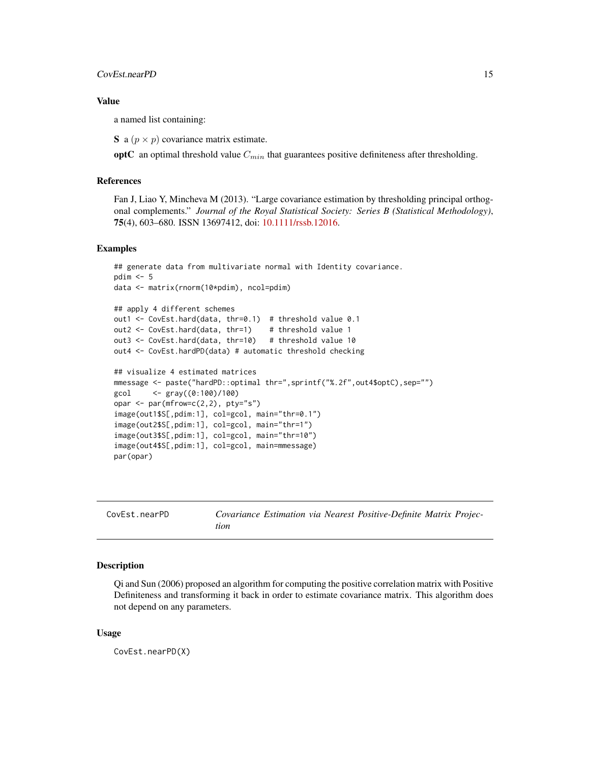<span id="page-14-0"></span>a named list containing:

S a  $(p \times p)$  covariance matrix estimate.

optC an optimal threshold value  $C_{min}$  that guarantees positive definiteness after thresholding.

## References

Fan J, Liao Y, Mincheva M (2013). "Large covariance estimation by thresholding principal orthogonal complements." *Journal of the Royal Statistical Society: Series B (Statistical Methodology)*, 75(4), 603–680. ISSN 13697412, doi: [10.1111/rssb.12016.](https://doi.org/10.1111/rssb.12016)

## Examples

```
## generate data from multivariate normal with Identity covariance.
pdim <-5data <- matrix(rnorm(10*pdim), ncol=pdim)
## apply 4 different schemes
out1 <- CovEst.hard(data, thr=0.1) # threshold value 0.1
out2 <- CovEst.hard(data, thr=1) # threshold value 1
out3 <- CovEst.hard(data, thr=10) # threshold value 10
out4 <- CovEst.hardPD(data) # automatic threshold checking
## visualize 4 estimated matrices
mmessage <- paste("hardPD::optimal thr=",sprintf("%.2f",out4$optC),sep="")
\{ \text{gcd} \} <- \{ \text{gray}((0:100)/100)opar \leq par(mfrow=c(2,2), pty="s")
image(out1$S[,pdim:1], col=gcol, main="thr=0.1")
image(out2$S[,pdim:1], col=gcol, main="thr=1")
image(out3$S[,pdim:1], col=gcol, main="thr=10")
image(out4$S[,pdim:1], col=gcol, main=mmessage)
par(opar)
```

| CovEst.nearPD |
|---------------|
|---------------|

Covariance Estimation via Nearest Positive-Definite Matrix Projec*tion*

#### Description

Qi and Sun (2006) proposed an algorithm for computing the positive correlation matrix with Positive Definiteness and transforming it back in order to estimate covariance matrix. This algorithm does not depend on any parameters.

#### Usage

CovEst.nearPD(X)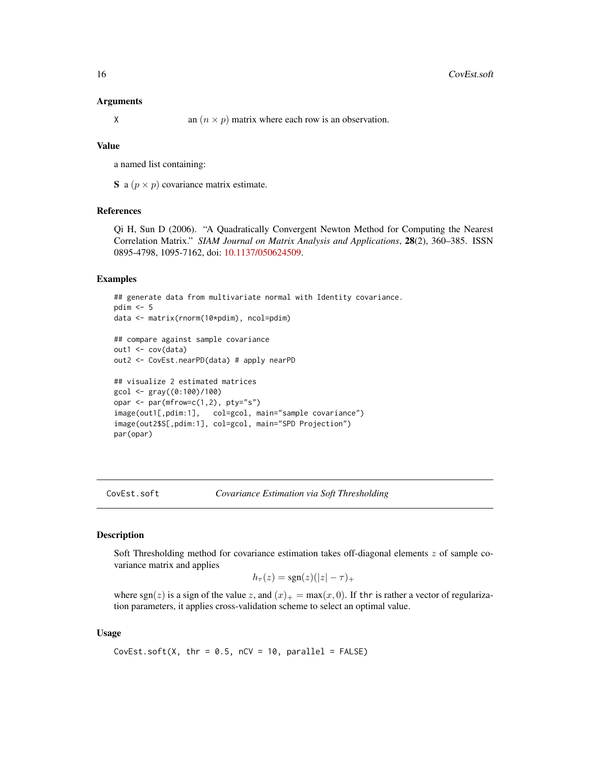## <span id="page-15-0"></span>Arguments

X an  $(n \times p)$  matrix where each row is an observation.

## Value

a named list containing:

S a  $(p \times p)$  covariance matrix estimate.

## References

Qi H, Sun D (2006). "A Quadratically Convergent Newton Method for Computing the Nearest Correlation Matrix." *SIAM Journal on Matrix Analysis and Applications*, 28(2), 360–385. ISSN 0895-4798, 1095-7162, doi: [10.1137/050624509.](https://doi.org/10.1137/050624509)

## Examples

```
## generate data from multivariate normal with Identity covariance.
pdim < -5data <- matrix(rnorm(10*pdim), ncol=pdim)
## compare against sample covariance
out1 <- cov(data)
out2 <- CovEst.nearPD(data) # apply nearPD
## visualize 2 estimated matrices
gcol <- gray((0:100)/100)
opar <- par(mfrow=c(1,2), pty="s")
image(out1[,pdim:1], col=gcol, main="sample covariance")
image(out2$S[,pdim:1], col=gcol, main="SPD Projection")
par(opar)
```
CovEst.soft *Covariance Estimation via Soft Thresholding*

## Description

Soft Thresholding method for covariance estimation takes off-diagonal elements z of sample covariance matrix and applies

$$
h_{\tau}(z) = \text{sgn}(z)(|z| - \tau)_{+}
$$

where sgn(z) is a sign of the value z, and  $(x)_{+} = \max(x, 0)$ . If thr is rather a vector of regularization parameters, it applies cross-validation scheme to select an optimal value.

## Usage

CovEst.soft(X, thr =  $0.5$ , nCV = 10, parallel = FALSE)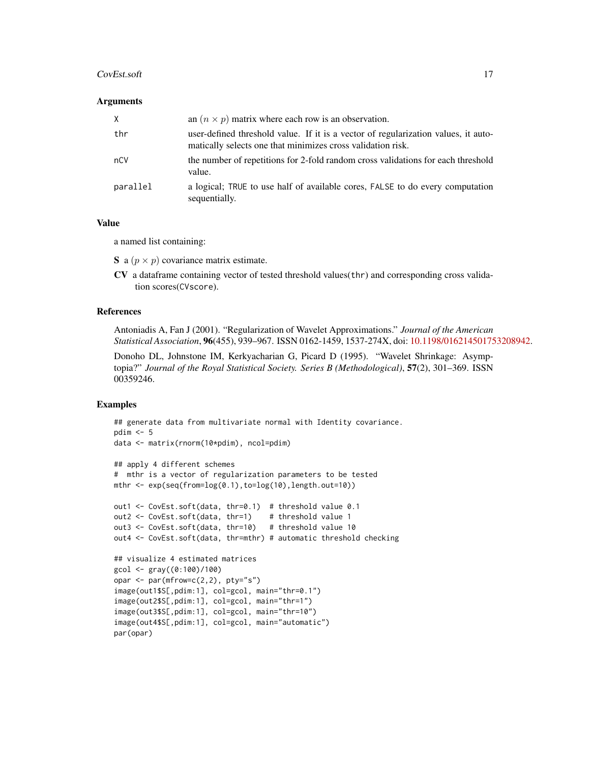### CovEst.soft 17

## Arguments

| X        | an $(n \times p)$ matrix where each row is an observation.                                                                                        |
|----------|---------------------------------------------------------------------------------------------------------------------------------------------------|
| thr      | user-defined threshold value. If it is a vector of regularization values, it auto-<br>matically selects one that minimizes cross validation risk. |
| nCV      | the number of repetitions for 2-fold random cross validations for each threshold<br>value.                                                        |
| parallel | a logical; TRUE to use half of available cores, FALSE to do every computation<br>sequentially.                                                    |

## Value

a named list containing:

- S a  $(p \times p)$  covariance matrix estimate.
- CV a dataframe containing vector of tested threshold values(thr) and corresponding cross validation scores(CVscore).

## References

Antoniadis A, Fan J (2001). "Regularization of Wavelet Approximations." *Journal of the American Statistical Association*, 96(455), 939–967. ISSN 0162-1459, 1537-274X, doi: [10.1198/016214501753208942.](https://doi.org/10.1198/016214501753208942)

Donoho DL, Johnstone IM, Kerkyacharian G, Picard D (1995). "Wavelet Shrinkage: Asymptopia?" *Journal of the Royal Statistical Society. Series B (Methodological)*, 57(2), 301–369. ISSN 00359246.

```
## generate data from multivariate normal with Identity covariance.
pdim < -5data <- matrix(rnorm(10*pdim), ncol=pdim)
## apply 4 different schemes
# mthr is a vector of regularization parameters to be tested
mthr \leq exp(seq(from=\log(0.1), to=\log(10), length.out=10))
out1 <- CovEst.soft(data, thr=0.1) # threshold value 0.1
out2 <- CovEst.soft(data, thr=1) # threshold value 1
out3 <- CovEst.soft(data, thr=10) # threshold value 10
out4 <- CovEst.soft(data, thr=mthr) # automatic threshold checking
## visualize 4 estimated matrices
\gcd \leftarrow \text{gray}((0:100)/100)opar \leq par(mfrow=c(2,2), pty="s")
image(out1$S[,pdim:1], col=gcol, main="thr=0.1")
image(out2$S[,pdim:1], col=gcol, main="thr=1")
image(out3$S[,pdim:1], col=gcol, main="thr=10")
image(out4$S[,pdim:1], col=gcol, main="automatic")
par(opar)
```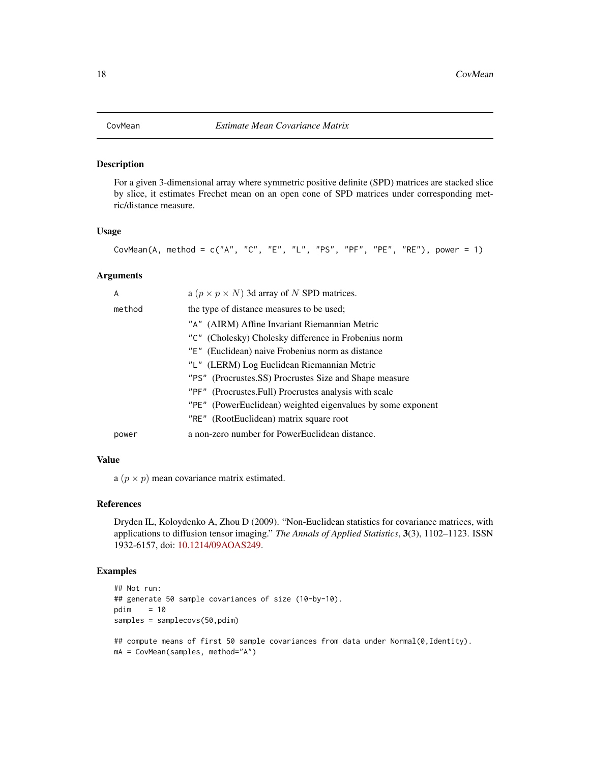<span id="page-17-1"></span><span id="page-17-0"></span>For a given 3-dimensional array where symmetric positive definite (SPD) matrices are stacked slice by slice, it estimates Frechet mean on an open cone of SPD matrices under corresponding metric/distance measure.

#### Usage

```
CovMean(A, method = c("A", "C", "E", "L", "PS", "PF", "PE", "RE"), power = 1)
```
## Arguments

| A      | a ( $p \times p \times N$ ) 3d array of N SPD matrices.     |
|--------|-------------------------------------------------------------|
| method | the type of distance measures to be used;                   |
|        | "A" (AIRM) Affine Invariant Riemannian Metric               |
|        | "C" (Cholesky) Cholesky difference in Frobenius norm        |
|        | "E" (Euclidean) naive Frobenius norm as distance            |
|        | "L" (LERM) Log Euclidean Riemannian Metric                  |
|        | "PS" (Procrustes.SS) Procrustes Size and Shape measure      |
|        | "PF" (Procrustes.Full) Procrustes analysis with scale       |
|        | "PE" (PowerEuclidean) weighted eigenvalues by some exponent |
|        | "RE" (RootEuclidean) matrix square root                     |
| power  | a non-zero number for PowerEuclidean distance.              |

## Value

a  $(p \times p)$  mean covariance matrix estimated.

## References

Dryden IL, Koloydenko A, Zhou D (2009). "Non-Euclidean statistics for covariance matrices, with applications to diffusion tensor imaging." *The Annals of Applied Statistics*, 3(3), 1102–1123. ISSN 1932-6157, doi: [10.1214/09AOAS249.](https://doi.org/10.1214/09-AOAS249)

```
## Not run:
## generate 50 sample covariances of size (10-by-10).
pdim = 10
samples = samplecovs(50,pdim)
## compute means of first 50 sample covariances from data under Normal(0, Identity).
mA = CovMean(samples, method="A")
```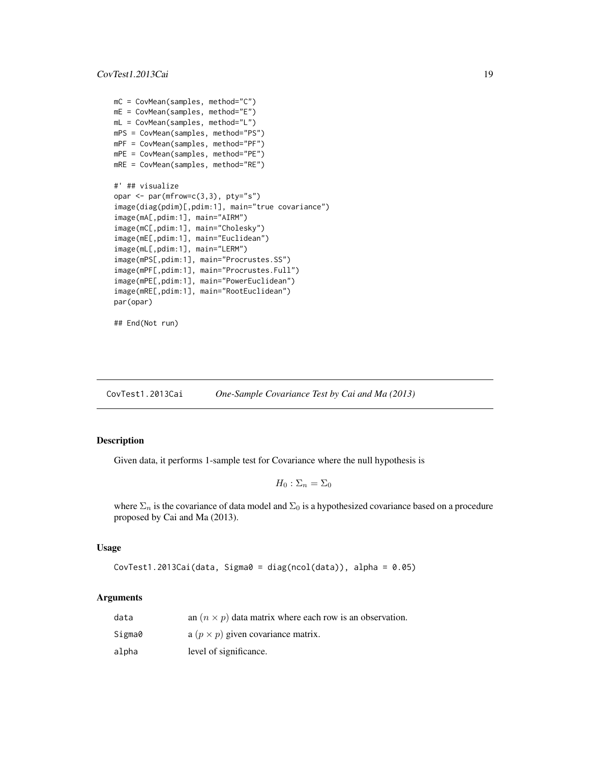```
mC = CovMean(samples, method="C")
mE = CovMean(samples, method="E")
mL = CovMean(samples, method="L")
mPS = CovMean(samples, method="PS")
mPF = CovMean(samples, method="PF")
mPE = CovMean(samples, method="PE")
mRE = CovMean(samples, method="RE")
#' ## visualize
opar \leq par(mfrow=c(3,3), pty="s")
image(diag(pdim)[,pdim:1], main="true covariance")
image(mA[,pdim:1], main="AIRM")
image(mC[,pdim:1], main="Cholesky")
image(mE[,pdim:1], main="Euclidean")
image(mL[,pdim:1], main="LERM")
image(mPS[,pdim:1], main="Procrustes.SS")
image(mPF[,pdim:1], main="Procrustes.Full")
image(mPE[,pdim:1], main="PowerEuclidean")
image(mRE[,pdim:1], main="RootEuclidean")
par(opar)
```

```
## End(Not run)
```
CovTest1.2013Cai *One-Sample Covariance Test by Cai and Ma (2013)*

#### Description

Given data, it performs 1-sample test for Covariance where the null hypothesis is

$$
H_0: \Sigma_n = \Sigma_0
$$

where  $\Sigma_n$  is the covariance of data model and  $\Sigma_0$  is a hypothesized covariance based on a procedure proposed by Cai and Ma (2013).

#### Usage

CovTest1.2013Cai(data, Sigma0 = diag(ncol(data)), alpha = 0.05)

| data   | an $(n \times p)$ data matrix where each row is an observation. |
|--------|-----------------------------------------------------------------|
| Sigma0 | a $(p \times p)$ given covariance matrix.                       |
| alpha  | level of significance.                                          |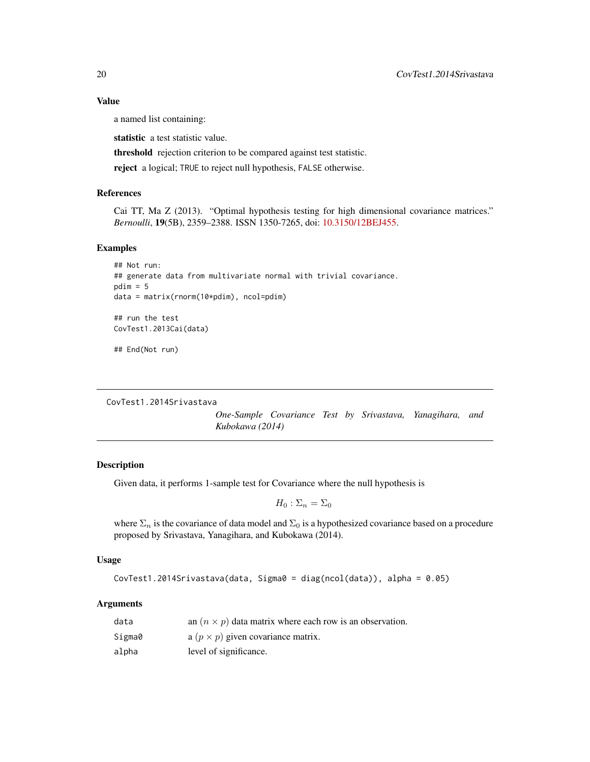a named list containing:

statistic a test statistic value.

threshold rejection criterion to be compared against test statistic.

reject a logical; TRUE to reject null hypothesis, FALSE otherwise.

## References

Cai TT, Ma Z (2013). "Optimal hypothesis testing for high dimensional covariance matrices." *Bernoulli*, 19(5B), 2359–2388. ISSN 1350-7265, doi: [10.3150/12BEJ455.](https://doi.org/10.3150/12-BEJ455)

#### Examples

```
## Not run:
## generate data from multivariate normal with trivial covariance.
pdim = 5data = matrix(rnorm(10*pdim), ncol=pdim)
## run the test
```

```
CovTest1.2013Cai(data)
```
## End(Not run)

CovTest1.2014Srivastava

*One-Sample Covariance Test by Srivastava, Yanagihara, and Kubokawa (2014)*

## Description

Given data, it performs 1-sample test for Covariance where the null hypothesis is

$$
H_0: \Sigma_n = \Sigma_0
$$

where  $\Sigma_n$  is the covariance of data model and  $\Sigma_0$  is a hypothesized covariance based on a procedure proposed by Srivastava, Yanagihara, and Kubokawa (2014).

## Usage

```
CovTest1.2014Srivastava(data, Sigma0 = diag(ncol(data)), alpha = 0.05)
```

| data   | an $(n \times p)$ data matrix where each row is an observation. |
|--------|-----------------------------------------------------------------|
| Sigma0 | a $(p \times p)$ given covariance matrix.                       |
| alpha  | level of significance.                                          |

<span id="page-19-0"></span>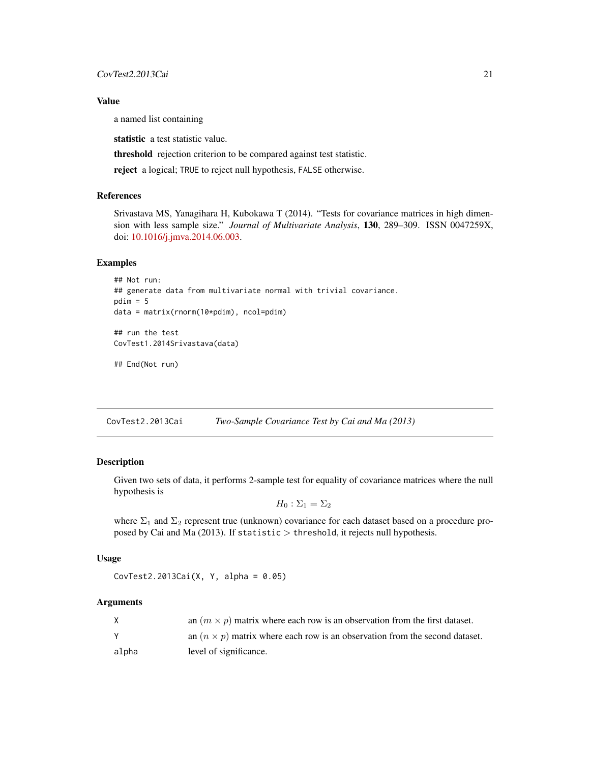<span id="page-20-0"></span>a named list containing

statistic a test statistic value.

threshold rejection criterion to be compared against test statistic.

reject a logical; TRUE to reject null hypothesis, FALSE otherwise.

## References

Srivastava MS, Yanagihara H, Kubokawa T (2014). "Tests for covariance matrices in high dimension with less sample size." *Journal of Multivariate Analysis*, 130, 289–309. ISSN 0047259X, doi: [10.1016/j.jmva.2014.06.003.](https://doi.org/10.1016/j.jmva.2014.06.003)

#### Examples

```
## Not run:
## generate data from multivariate normal with trivial covariance.
pdim = 5data = matrix(rnorm(10*pdim), ncol=pdim)
## run the test
CovTest1.2014Srivastava(data)
```
## End(Not run)

CovTest2.2013Cai *Two-Sample Covariance Test by Cai and Ma (2013)*

## Description

Given two sets of data, it performs 2-sample test for equality of covariance matrices where the null hypothesis is

 $H_0$ :  $\Sigma_1 = \Sigma_2$ 

where  $\Sigma_1$  and  $\Sigma_2$  represent true (unknown) covariance for each dataset based on a procedure proposed by Cai and Ma (2013). If statistic  $>$  threshold, it rejects null hypothesis.

## Usage

```
CovTest2.2013Cai(X, Y, alpha = 0.05)
```

|       | an $(m \times p)$ matrix where each row is an observation from the first dataset.  |
|-------|------------------------------------------------------------------------------------|
|       | an $(n \times p)$ matrix where each row is an observation from the second dataset. |
| alpha | level of significance.                                                             |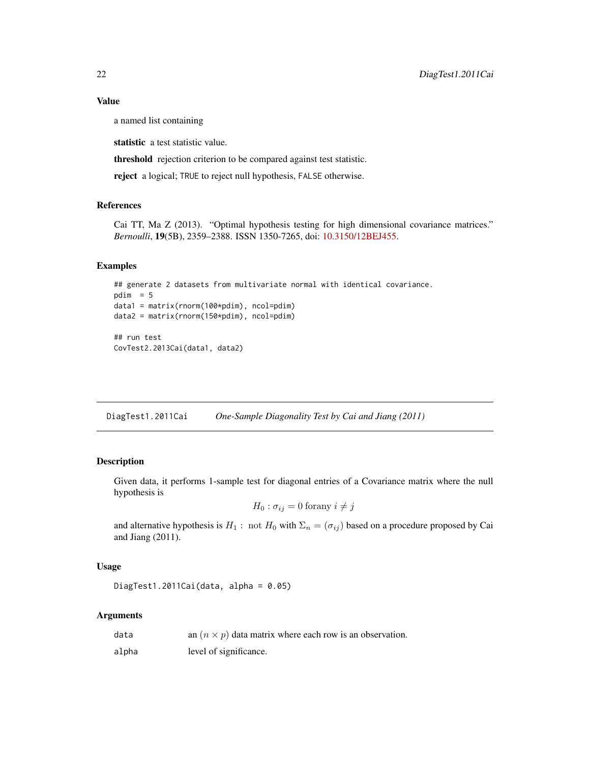a named list containing

statistic a test statistic value.

threshold rejection criterion to be compared against test statistic.

reject a logical; TRUE to reject null hypothesis, FALSE otherwise.

## References

Cai TT, Ma Z (2013). "Optimal hypothesis testing for high dimensional covariance matrices." *Bernoulli*, 19(5B), 2359–2388. ISSN 1350-7265, doi: [10.3150/12BEJ455.](https://doi.org/10.3150/12-BEJ455)

## Examples

```
## generate 2 datasets from multivariate normal with identical covariance.
pdim = 5data1 = matrix(rnorm(100*pdim), ncol=pdim)
data2 = matrix(rnorm(150*pdim), ncol=pdim)
## run test
```
CovTest2.2013Cai(data1, data2)

DiagTest1.2011Cai *One-Sample Diagonality Test by Cai and Jiang (2011)*

## **Description**

Given data, it performs 1-sample test for diagonal entries of a Covariance matrix where the null hypothesis is

$$
H_0: \sigma_{ij} = 0 \text{ for any } i \neq j
$$

and alternative hypothesis is  $H_1$ : not  $H_0$  with  $\Sigma_n = (\sigma_{ij})$  based on a procedure proposed by Cai and Jiang (2011).

## Usage

DiagTest1.2011Cai(data, alpha = 0.05)

| data  | an $(n \times p)$ data matrix where each row is an observation. |
|-------|-----------------------------------------------------------------|
| alpha | level of significance.                                          |

<span id="page-21-0"></span>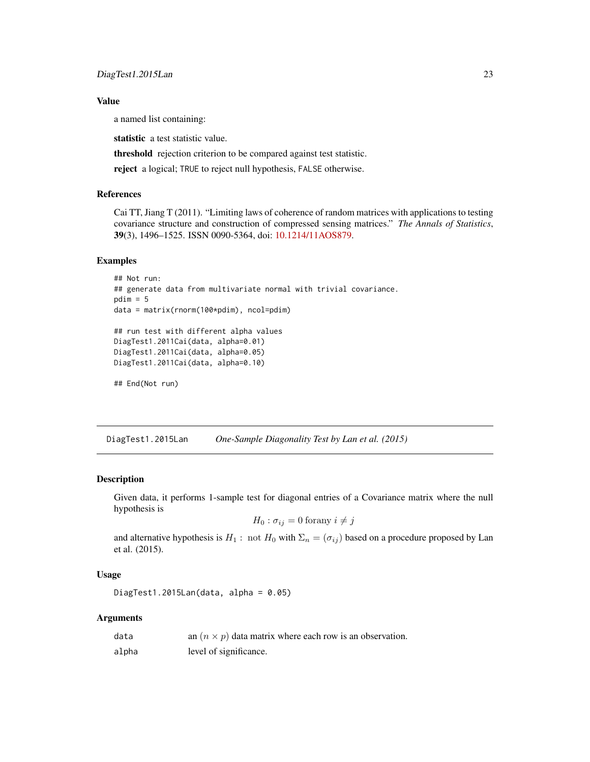<span id="page-22-0"></span>a named list containing:

statistic a test statistic value.

threshold rejection criterion to be compared against test statistic.

reject a logical; TRUE to reject null hypothesis, FALSE otherwise.

## References

Cai TT, Jiang T (2011). "Limiting laws of coherence of random matrices with applications to testing covariance structure and construction of compressed sensing matrices." *The Annals of Statistics*, 39(3), 1496–1525. ISSN 0090-5364, doi: [10.1214/11AOS879.](https://doi.org/10.1214/11-AOS879)

#### Examples

```
## Not run:
## generate data from multivariate normal with trivial covariance.
pdim = 5data = matrix(rnorm(100*pdim), ncol=pdim)
## run test with different alpha values
DiagTest1.2011Cai(data, alpha=0.01)
DiagTest1.2011Cai(data, alpha=0.05)
DiagTest1.2011Cai(data, alpha=0.10)
## End(Not run)
```
DiagTest1.2015Lan *One-Sample Diagonality Test by Lan et al. (2015)*

#### Description

Given data, it performs 1-sample test for diagonal entries of a Covariance matrix where the null hypothesis is

$$
H_0: \sigma_{ij} = 0 \text{ for any } i \neq j
$$

and alternative hypothesis is  $H_1$ : not  $H_0$  with  $\Sigma_n = (\sigma_{ij})$  based on a procedure proposed by Lan et al. (2015).

## Usage

DiagTest1.2015Lan(data, alpha =  $0.05$ )

| data  | an $(n \times p)$ data matrix where each row is an observation. |
|-------|-----------------------------------------------------------------|
| alpha | level of significance.                                          |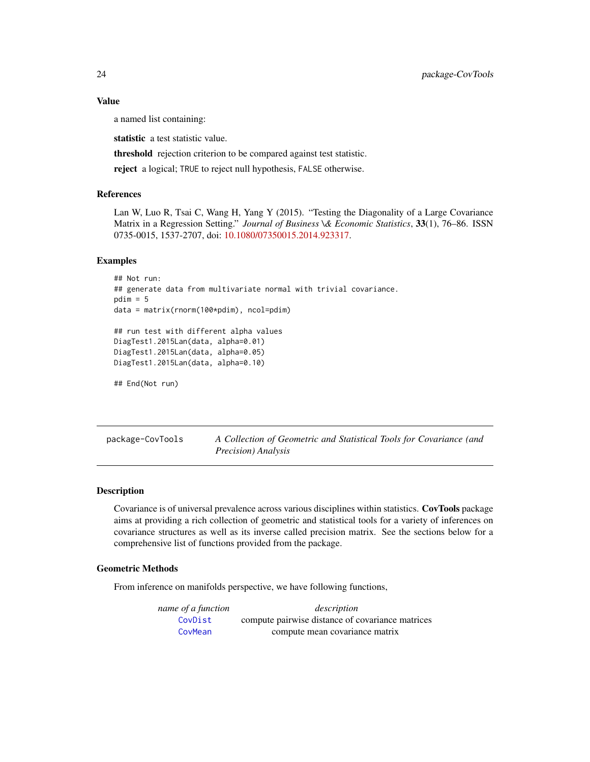a named list containing:

statistic a test statistic value.

threshold rejection criterion to be compared against test statistic.

reject a logical; TRUE to reject null hypothesis, FALSE otherwise.

## References

Lan W, Luo R, Tsai C, Wang H, Yang Y (2015). "Testing the Diagonality of a Large Covariance Matrix in a Regression Setting." *Journal of Business \& Economic Statistics*, 33(1), 76–86. ISSN 0735-0015, 1537-2707, doi: [10.1080/07350015.2014.923317.](https://doi.org/10.1080/07350015.2014.923317)

#### Examples

```
## Not run:
## generate data from multivariate normal with trivial covariance.
pdim = 5data = matrix(rnorm(100*pdim), ncol=pdim)
## run test with different alpha values
DiagTest1.2015Lan(data, alpha=0.01)
DiagTest1.2015Lan(data, alpha=0.05)
DiagTest1.2015Lan(data, alpha=0.10)
## End(Not run)
```
package-CovTools *A Collection of Geometric and Statistical Tools for Covariance (and Precision) Analysis*

## **Description**

Covariance is of universal prevalence across various disciplines within statistics. CovTools package aims at providing a rich collection of geometric and statistical tools for a variety of inferences on covariance structures as well as its inverse called precision matrix. See the sections below for a comprehensive list of functions provided from the package.

## Geometric Methods

From inference on manifolds perspective, we have following functions,

| name of a function | description                                      |
|--------------------|--------------------------------------------------|
| CovDist            | compute pairwise distance of covariance matrices |
| CovMean            | compute mean covariance matrix                   |

<span id="page-23-0"></span>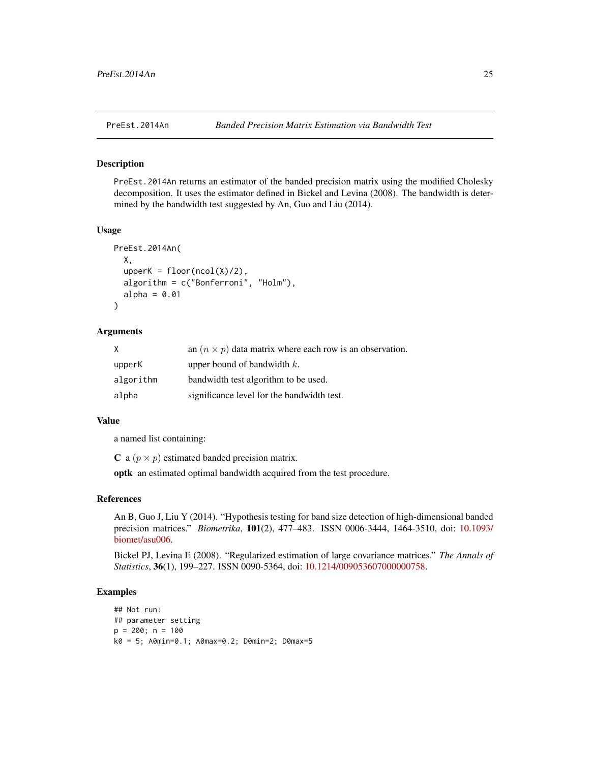<span id="page-24-0"></span>

PreEst.2014An returns an estimator of the banded precision matrix using the modified Cholesky decomposition. It uses the estimator defined in Bickel and Levina (2008). The bandwidth is determined by the bandwidth test suggested by An, Guo and Liu (2014).

#### Usage

```
PreEst.2014An(
  X,
  upperK = floor(ncol(X)/2),
  algorithm = c("Bonferroni", "Holm"),
  alpha = 0.01)
```
## Arguments

| X         | an $(n \times p)$ data matrix where each row is an observation. |
|-----------|-----------------------------------------------------------------|
| upperK    | upper bound of bandwidth $k$ .                                  |
| algorithm | bandwidth test algorithm to be used.                            |
| alpha     | significance level for the bandwidth test.                      |

#### Value

a named list containing:

C a  $(p \times p)$  estimated banded precision matrix.

optk an estimated optimal bandwidth acquired from the test procedure.

## References

An B, Guo J, Liu Y (2014). "Hypothesis testing for band size detection of high-dimensional banded precision matrices." *Biometrika*, 101(2), 477–483. ISSN 0006-3444, 1464-3510, doi: [10.1093/](https://doi.org/10.1093/biomet/asu006) [biomet/asu006.](https://doi.org/10.1093/biomet/asu006)

Bickel PJ, Levina E (2008). "Regularized estimation of large covariance matrices." *The Annals of Statistics*, 36(1), 199–227. ISSN 0090-5364, doi: [10.1214/009053607000000758.](https://doi.org/10.1214/009053607000000758)

```
## Not run:
## parameter setting
p = 200; n = 100k0 = 5; A0min=0.1; A0max=0.2; D0min=2; D0max=5
```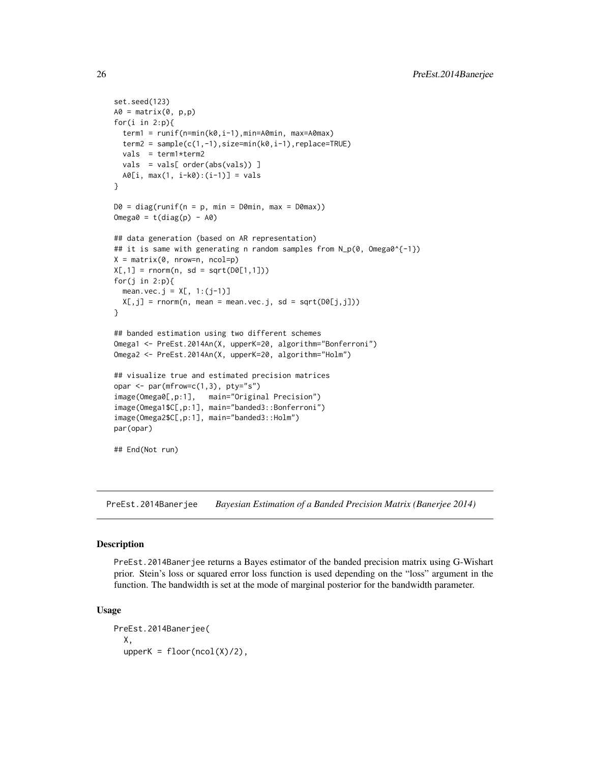```
set.seed(123)
A0 = matrix(0, p, p)for(i in 2:p){
  term1 = runif(n=min(k0,i-1),min=A0min, max=A0max)
  term2 = sample(c(1, -1), size=min(k0, i-1), replace=TRUE)vals = term1*term2
  vals = vals[ order(abs(vals)) ]
  A0[i, max(1, i-k0):(i-1)] = vals
}
D0 = diag(runif(n = p, min = D0min, max = D0max))Omega = t(diag(p) - A0)## data generation (based on AR representation)
## it is same with generating n random samples from N_p(0, Omega0^{-1})
X = matrix(0, nrow=n, ncol=p)X[, 1] = \text{rnorm}(n, sd = \text{sqrt}(DØ[1,1]))for(j in 2:p){
  mean.vec.j = X[, 1:(j-1)]X[, j] = rnorm(n, mean = mean/sec.j, sd = sqrt(D0[j,j]))}
## banded estimation using two different schemes
Omega1 <- PreEst.2014An(X, upperK=20, algorithm="Bonferroni")
Omega2 <- PreEst.2014An(X, upperK=20, algorithm="Holm")
## visualize true and estimated precision matrices
opar \leq par(mfrow=c(1,3), pty="s")
image(Omega0[,p:1], main="Original Precision")
image(Omega1$C[,p:1], main="banded3::Bonferroni")
image(Omega2$C[,p:1], main="banded3::Holm")
par(opar)
## End(Not run)
```
PreEst.2014Banerjee *Bayesian Estimation of a Banded Precision Matrix (Banerjee 2014)*

## Description

PreEst.2014Banerjee returns a Bayes estimator of the banded precision matrix using G-Wishart prior. Stein's loss or squared error loss function is used depending on the "loss" argument in the function. The bandwidth is set at the mode of marginal posterior for the bandwidth parameter.

#### Usage

```
PreEst.2014Banerjee(
  X,
  upperK = floor(ncol(X)/2),
```
<span id="page-25-0"></span>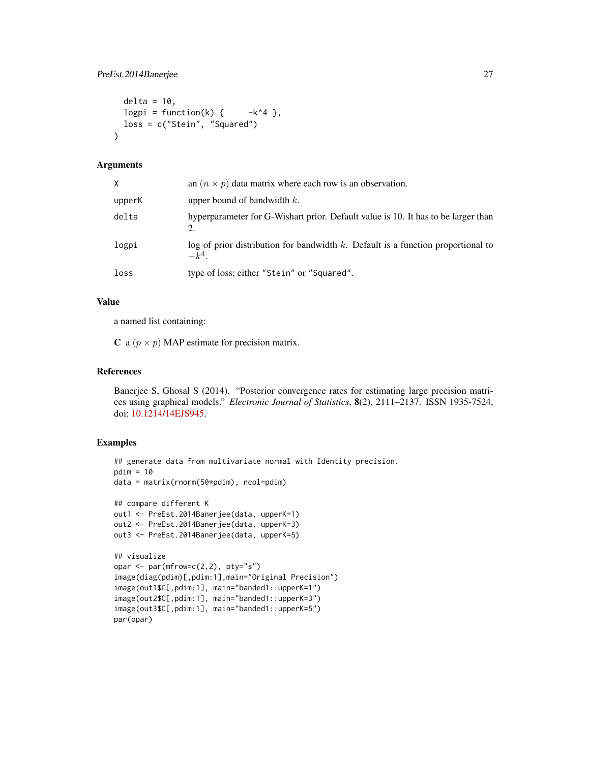```
delta = 10,
 logpi = function(k) { -k^4 },loss = c("Stein", "Squared")
\lambda
```
## Arguments

| X.     | an $(n \times p)$ data matrix where each row is an observation.                                 |
|--------|-------------------------------------------------------------------------------------------------|
| upperK | upper bound of bandwidth $k$ .                                                                  |
| delta  | hyperparameter for G-Wishart prior. Default value is 10. It has to be larger than<br>2.         |
| logpi  | $\log$ of prior distribution for bandwidth k. Default is a function proportional to<br>$-k^4$ . |
| loss   | type of loss; either "Stein" or "Squared".                                                      |

## Value

a named list containing:

C a  $(p \times p)$  MAP estimate for precision matrix.

## References

Banerjee S, Ghosal S (2014). "Posterior convergence rates for estimating large precision matrices using graphical models." *Electronic Journal of Statistics*, 8(2), 2111–2137. ISSN 1935-7524, doi: [10.1214/14EJS945.](https://doi.org/10.1214/14-EJS945)

```
## generate data from multivariate normal with Identity precision.
pdim = 10
data = matrix(rnorm(50*pdim), ncol=pdim)
## compare different K
out1 <- PreEst.2014Banerjee(data, upperK=1)
out2 <- PreEst.2014Banerjee(data, upperK=3)
out3 <- PreEst.2014Banerjee(data, upperK=5)
## visualize
opar <- par(mfrow=c(2,2), pty="s")
image(diag(pdim)[,pdim:1],main="Original Precision")
image(out1$C[,pdim:1], main="banded1::upperK=1")
image(out2$C[,pdim:1], main="banded1::upperK=3")
image(out3$C[,pdim:1], main="banded1::upperK=5")
par(opar)
```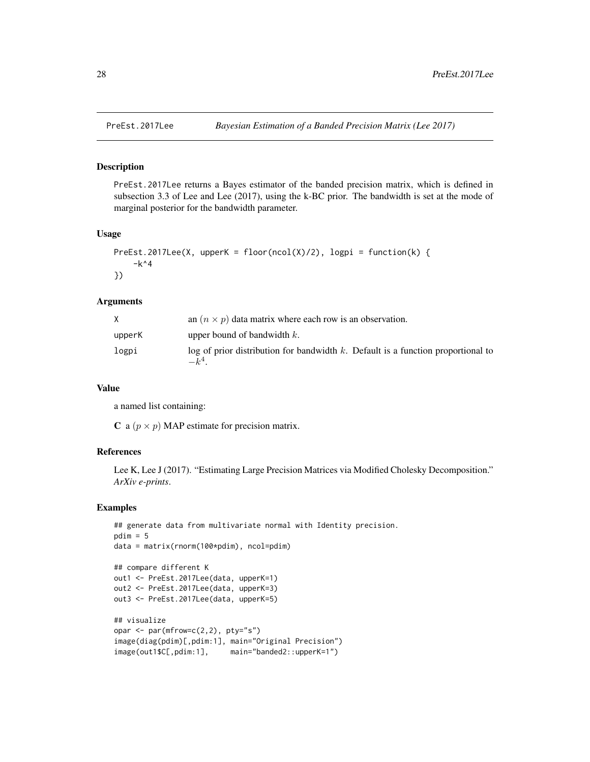<span id="page-27-0"></span>

PreEst.2017Lee returns a Bayes estimator of the banded precision matrix, which is defined in subsection 3.3 of Lee and Lee (2017), using the k-BC prior. The bandwidth is set at the mode of marginal posterior for the bandwidth parameter.

## Usage

```
PreEst.2017Lee(X, upperK = floor(ncol(X)/2), logpi = function(k) {
    -k^4})
```
## Arguments

|        | an $(n \times p)$ data matrix where each row is an observation.                               |
|--------|-----------------------------------------------------------------------------------------------|
| upperK | upper bound of bandwidth $k$ .                                                                |
| logpi  | $\log$ of prior distribution for bandwidth k. Default is a function proportional to<br>$-k^4$ |

#### Value

a named list containing:

C a  $(p \times p)$  MAP estimate for precision matrix.

## References

Lee K, Lee J (2017). "Estimating Large Precision Matrices via Modified Cholesky Decomposition." *ArXiv e-prints*.

```
## generate data from multivariate normal with Identity precision.
pdim = 5data = matrix(rnorm(100*pdim), ncol=pdim)
## compare different K
out1 <- PreEst.2017Lee(data, upperK=1)
out2 <- PreEst.2017Lee(data, upperK=3)
out3 <- PreEst.2017Lee(data, upperK=5)
## visualize
opar <- par(mfrow=c(2,2), pty="s")
image(diag(pdim)[,pdim:1], main="Original Precision")
image(out1$C[,pdim:1], main="banded2::upperK=1")
```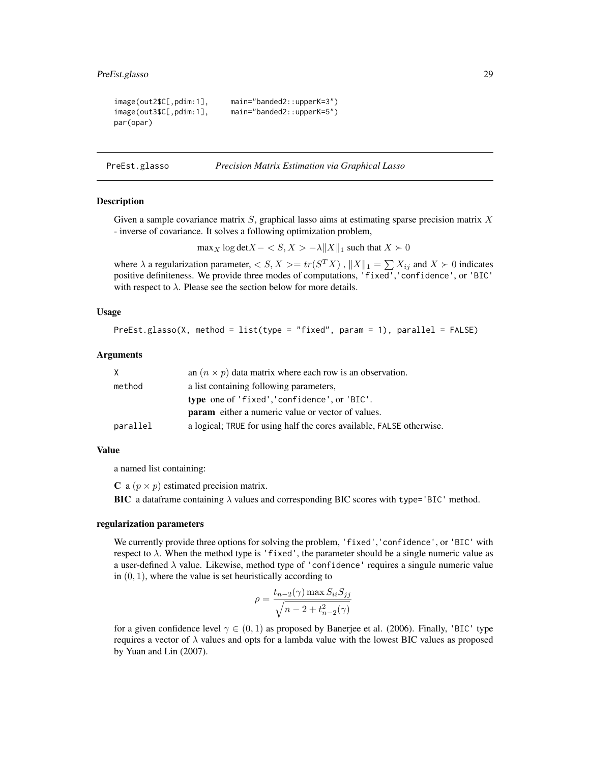```
image(out2$C[,pdim:1], main="banded2::upperK=3")
image(out3$C[,pdim:1], main="banded2::upperK=5")
par(opar)
```
PreEst.glasso *Precision Matrix Estimation via Graphical Lasso*

#### Description

Given a sample covariance matrix  $S$ , graphical lasso aims at estimating sparse precision matrix  $X$ - inverse of covariance. It solves a following optimization problem,

 $\max_X \log \det X - \langle S, X \rangle - \lambda ||X||_1$  such that  $X \succ 0$ 

where  $\lambda$  a regularization parameter,  $\langle S, X \rangle = tr(S^T X)$  ,  $||X||_1 = \sum X_{ij}$  and  $X \succ 0$  indicates positive definiteness. We provide three modes of computations, 'fixed','confidence', or 'BIC' with respect to  $\lambda$ . Please see the section below for more details.

## Usage

PreEst.glasso(X, method = list(type = "fixed", param = 1), parallel = FALSE)

## Arguments

| X        | an $(n \times p)$ data matrix where each row is an observation.      |
|----------|----------------------------------------------------------------------|
| method   | a list containing following parameters,                              |
|          | type one of 'fixed', 'confidence', or 'BIC'.                         |
|          | <b>param</b> either a numeric value or vector of values.             |
| parallel | a logical; TRUE for using half the cores available, FALSE otherwise. |

## Value

a named list containing:

**C** a  $(p \times p)$  estimated precision matrix.

BIC a dataframe containing  $\lambda$  values and corresponding BIC scores with type='BIC' method.

#### regularization parameters

We currently provide three options for solving the problem, 'fixed','confidence', or 'BIC' with respect to  $\lambda$ . When the method type is 'fixed', the parameter should be a single numeric value as a user-defined  $\lambda$  value. Likewise, method type of 'confidence' requires a singule numeric value in  $(0, 1)$ , where the value is set heuristically according to

$$
\rho = \frac{t_{n-2}(\gamma) \max S_{ii} S_{jj}}{\sqrt{n-2 + t_{n-2}^2(\gamma)}}
$$

for a given confidence level  $\gamma \in (0, 1)$  as proposed by Banerjee et al. (2006). Finally, 'BIC' type requires a vector of  $\lambda$  values and opts for a lambda value with the lowest BIC values as proposed by Yuan and Lin (2007).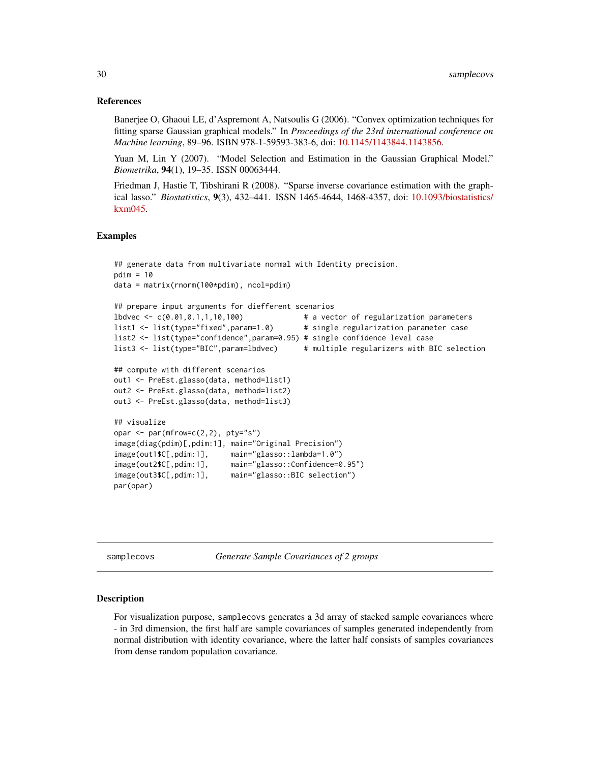## References

Banerjee O, Ghaoui LE, d'Aspremont A, Natsoulis G (2006). "Convex optimization techniques for fitting sparse Gaussian graphical models." In *Proceedings of the 23rd international conference on Machine learning*, 89–96. ISBN 978-1-59593-383-6, doi: [10.1145/1143844.1143856.](https://doi.org/10.1145/1143844.1143856)

Yuan M, Lin Y (2007). "Model Selection and Estimation in the Gaussian Graphical Model." *Biometrika*, 94(1), 19–35. ISSN 00063444.

Friedman J, Hastie T, Tibshirani R (2008). "Sparse inverse covariance estimation with the graphical lasso." *Biostatistics*, 9(3), 432–441. ISSN 1465-4644, 1468-4357, doi: [10.1093/biostatistics/](https://doi.org/10.1093/biostatistics/kxm045) [kxm045.](https://doi.org/10.1093/biostatistics/kxm045)

#### Examples

```
## generate data from multivariate normal with Identity precision.
pdim = 10data = matrix(rnorm(100*pdim), ncol=pdim)
## prepare input arguments for diefferent scenarios
lbdvec <- c(0.01,0.1,1,10,100) # a vector of regularization parameters
list1 <- list(type="fixed",param=1.0) # single regularization parameter case
list2 <- list(type="confidence",param=0.95) # single confidence level case
list3 <- list(type="BIC",param=lbdvec) # multiple regularizers with BIC selection
## compute with different scenarios
out1 <- PreEst.glasso(data, method=list1)
out2 <- PreEst.glasso(data, method=list2)
out3 <- PreEst.glasso(data, method=list3)
## visualize
opar <- par(mfrow=c(2,2), pty="s")
image(diag(pdim)[,pdim:1], main="Original Precision")
image(out1$C[,pdim:1], main="glasso::lambda=1.0")
image(out2$C[,pdim:1], main="glasso::Confidence=0.95")
image(out3$C[,pdim:1], main="glasso::BIC selection")
par(opar)
```
samplecovs *Generate Sample Covariances of 2 groups*

## Description

For visualization purpose, samplecovs generates a 3d array of stacked sample covariances where - in 3rd dimension, the first half are sample covariances of samples generated independently from normal distribution with identity covariance, where the latter half consists of samples covariances from dense random population covariance.

<span id="page-29-0"></span>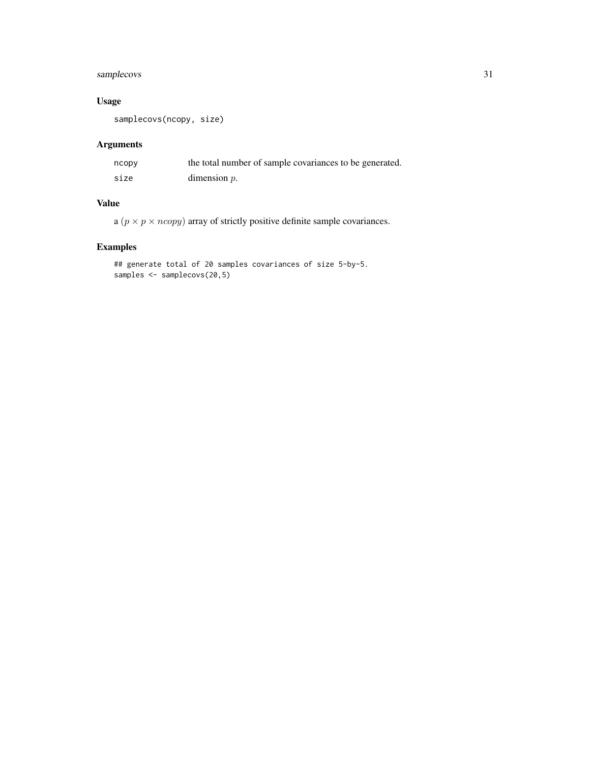## samplecovs 31

## Usage

samplecovs(ncopy, size)

## Arguments

| ncopy | the total number of sample covariances to be generated. |
|-------|---------------------------------------------------------|
| size  | dimension $p$ .                                         |

## Value

a ( $p \times p \times ncopy$ ) array of strictly positive definite sample covariances.

```
## generate total of 20 samples covariances of size 5-by-5.
samples <- samplecovs(20,5)
```